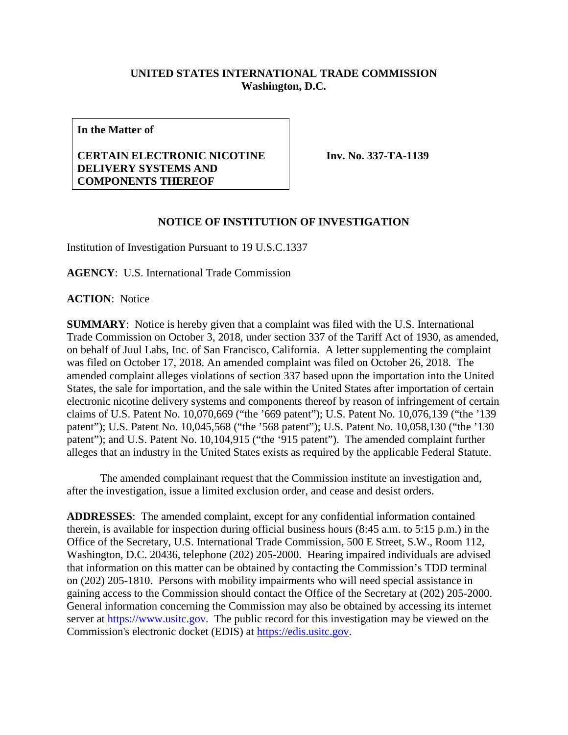## **UNITED STATES INTERNATIONAL TRADE COMMISSION Washington, D.C.**

**In the Matter of**

## **CERTAIN ELECTRONIC NICOTINE DELIVERY SYSTEMS AND COMPONENTS THEREOF**

**Inv. No. 337-TA-1139**

## **NOTICE OF INSTITUTION OF INVESTIGATION**

Institution of Investigation Pursuant to 19 U.S.C.1337

**AGENCY**: U.S. International Trade Commission

**ACTION**: Notice

**SUMMARY**: Notice is hereby given that a complaint was filed with the U.S. International Trade Commission on October 3, 2018, under section 337 of the Tariff Act of 1930, as amended, on behalf of Juul Labs, Inc. of San Francisco, California. A letter supplementing the complaint was filed on October 17, 2018. An amended complaint was filed on October 26, 2018. The amended complaint alleges violations of section 337 based upon the importation into the United States, the sale for importation, and the sale within the United States after importation of certain electronic nicotine delivery systems and components thereof by reason of infringement of certain claims of U.S. Patent No. 10,070,669 ("the '669 patent"); U.S. Patent No. 10,076,139 ("the '139 patent"); U.S. Patent No. 10,045,568 ("the '568 patent"); U.S. Patent No. 10,058,130 ("the '130 patent"); and U.S. Patent No. 10,104,915 ("the '915 patent"). The amended complaint further alleges that an industry in the United States exists as required by the applicable Federal Statute.

The amended complainant request that the Commission institute an investigation and, after the investigation, issue a limited exclusion order, and cease and desist orders.

**ADDRESSES**: The amended complaint, except for any confidential information contained therein, is available for inspection during official business hours (8:45 a.m. to 5:15 p.m.) in the Office of the Secretary, U.S. International Trade Commission, 500 E Street, S.W., Room 112, Washington, D.C. 20436, telephone (202) 205-2000. Hearing impaired individuals are advised that information on this matter can be obtained by contacting the Commission's TDD terminal on (202) 205-1810. Persons with mobility impairments who will need special assistance in gaining access to the Commission should contact the Office of the Secretary at (202) 205-2000. General information concerning the Commission may also be obtained by accessing its internet server at [https://www.usitc.gov.](https://www.usitc.gov/) The public record for this investigation may be viewed on the Commission's electronic docket (EDIS) at [https://edis.usitc.gov.](https://edis.usitc.gov/)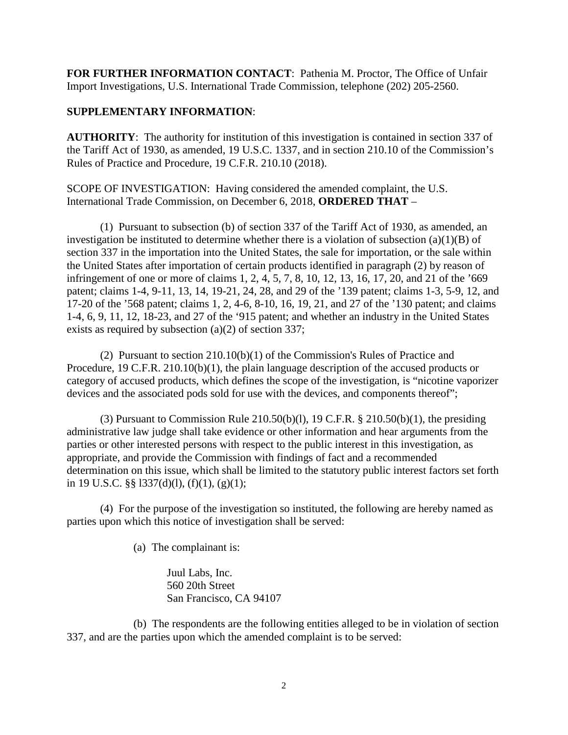**FOR FURTHER INFORMATION CONTACT**: Pathenia M. Proctor, The Office of Unfair Import Investigations, U.S. International Trade Commission, telephone (202) 205-2560.

## **SUPPLEMENTARY INFORMATION**:

**AUTHORITY**: The authority for institution of this investigation is contained in section 337 of the Tariff Act of 1930, as amended, 19 U.S.C. 1337, and in section 210.10 of the Commission's Rules of Practice and Procedure, 19 C.F.R. 210.10 (2018).

SCOPE OF INVESTIGATION: Having considered the amended complaint, the U.S. International Trade Commission, on December 6, 2018, **ORDERED THAT** –

(1) Pursuant to subsection (b) of section 337 of the Tariff Act of 1930, as amended, an investigation be instituted to determine whether there is a violation of subsection (a)(1)(B) of section 337 in the importation into the United States, the sale for importation, or the sale within the United States after importation of certain products identified in paragraph (2) by reason of infringement of one or more of claims 1, 2, 4, 5, 7, 8, 10, 12, 13, 16, 17, 20, and 21 of the '669 patent; claims 1-4, 9-11, 13, 14, 19-21, 24, 28, and 29 of the '139 patent; claims 1-3, 5-9, 12, and 17-20 of the '568 patent; claims 1, 2, 4-6, 8-10, 16, 19, 21, and 27 of the '130 patent; and claims 1-4, 6, 9, 11, 12, 18-23, and 27 of the '915 patent; and whether an industry in the United States exists as required by subsection (a)(2) of section 337;

(2) Pursuant to section 210.10(b)(1) of the Commission's Rules of Practice and Procedure, 19 C.F.R. 210.10(b)(1), the plain language description of the accused products or category of accused products, which defines the scope of the investigation, is "nicotine vaporizer devices and the associated pods sold for use with the devices, and components thereof";

(3) Pursuant to Commission Rule  $210.50(b)(1)$ , 19 C.F.R. §  $210.50(b)(1)$ , the presiding administrative law judge shall take evidence or other information and hear arguments from the parties or other interested persons with respect to the public interest in this investigation, as appropriate, and provide the Commission with findings of fact and a recommended determination on this issue, which shall be limited to the statutory public interest factors set forth in 19 U.S.C. §§ 1337(d)(1), (f)(1), (g)(1);

(4) For the purpose of the investigation so instituted, the following are hereby named as parties upon which this notice of investigation shall be served:

(a) The complainant is:

Juul Labs, Inc. 560 20th Street San Francisco, CA 94107

(b) The respondents are the following entities alleged to be in violation of section 337, and are the parties upon which the amended complaint is to be served: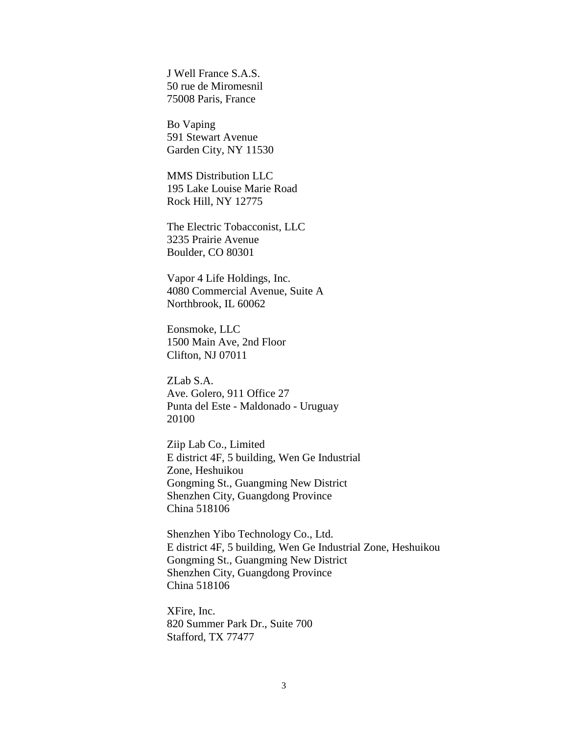J Well France S.A.S. 50 rue de Miromesnil 75008 Paris, France

Bo Vaping 591 Stewart Avenue Garden City, NY 11530

MMS Distribution LLC 195 Lake Louise Marie Road Rock Hill, NY 12775

The Electric Tobacconist, LLC 3235 Prairie Avenue Boulder, CO 80301

Vapor 4 Life Holdings, Inc. 4080 Commercial Avenue, Suite A Northbrook, IL 60062

Eonsmoke, LLC 1500 Main Ave, 2nd Floor Clifton, NJ 07011

ZLab S.A. Ave. Golero, 911 Office 27 Punta del Este - Maldonado - Uruguay 20100

Ziip Lab Co., Limited E district 4F, 5 building, Wen Ge Industrial Zone, Heshuikou Gongming St., Guangming New District Shenzhen City, Guangdong Province China 518106

Shenzhen Yibo Technology Co., Ltd. E district 4F, 5 building, Wen Ge Industrial Zone, Heshuikou Gongming St., Guangming New District Shenzhen City, Guangdong Province China 518106

XFire, Inc. 820 Summer Park Dr., Suite 700 Stafford, TX 77477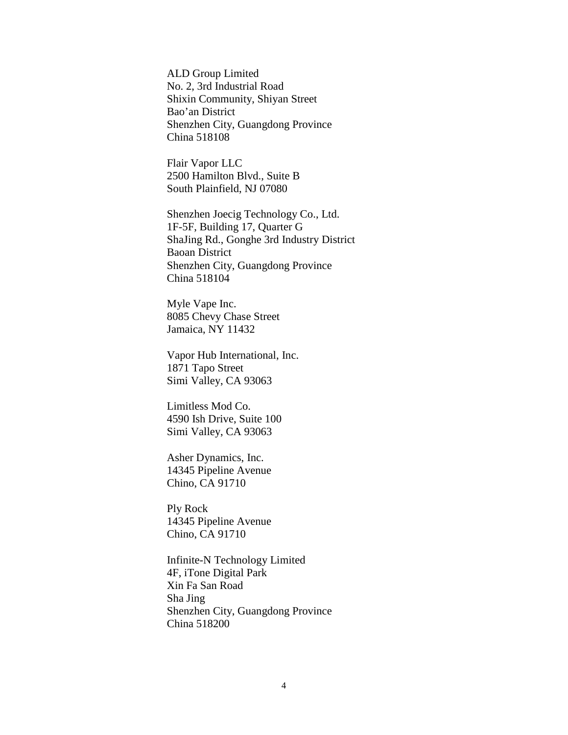ALD Group Limited No. 2, 3rd Industrial Road Shixin Community, Shiyan Street Bao'an District Shenzhen City, Guangdong Province China 518108

Flair Vapor LLC 2500 Hamilton Blvd., Suite B South Plainfield, NJ 07080

Shenzhen Joecig Technology Co., Ltd. 1F-5F, Building 17, Quarter G ShaJing Rd., Gonghe 3rd Industry District Baoan District Shenzhen City, Guangdong Province China 518104

Myle Vape Inc. 8085 Chevy Chase Street Jamaica, NY 11432

Vapor Hub International, Inc. 1871 Tapo Street Simi Valley, CA 93063

Limitless Mod Co. 4590 Ish Drive, Suite 100 Simi Valley, CA 93063

Asher Dynamics, Inc. 14345 Pipeline Avenue Chino, CA 91710

Ply Rock 14345 Pipeline Avenue Chino, CA 91710

Infinite-N Technology Limited 4F, iTone Digital Park Xin Fa San Road Sha Jing Shenzhen City, Guangdong Province China 518200